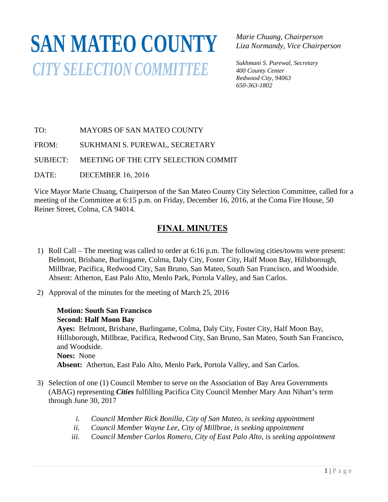# **SAN MATEO COUNTY***CITY SELECTION COMMITTEE*

*Marie Chuang, Chairperson Liza Normandy, Vice Chairperson* 

*Sukhmani S. Purewal, Secretary 400 County Center Redwood City, 94063 650-363-1802*

TO: MAYORS OF SAN MATEO COUNTY

FROM: SUKHMANI S. PUREWAL, SECRETARY

SUBJECT: MEETING OF THE CITY SELECTION COMMIT  $\sum$ 

DATE: DECEMBER 16, 2016

Vice Mayor Marie Chuang, Chairperson of the San Mateo County City Selection Committee, called for a meeting of the Committee at 6:15 p.m. on Friday, December 16, 2016, at the Coma Fire House, 50 Reiner Street, Colma, CA 94014.

# **FINAL MINUTES**

- 1) Roll Call The meeting was called to order at 6:16 p.m. The following cities/towns were present: Belmont, Brisbane, Burlingame, Colma, Daly City, Foster City, Half Moon Bay, Hillsborough, Millbrae, Pacifica, Redwood City, San Bruno, San Mateo, South San Francisco, and Woodside. Absent: Atherton, East Palo Alto, Menlo Park, Portola Valley, and San Carlos.
- 2) Approval of the minutes for the meeting of March 25, 2016

## **Motion: South San Francisco Second: Half Moon Bay**

**Ayes:** Belmont, Brisbane, Burlingame, Colma, Daly City, Foster City, Half Moon Bay, Hillsborough, Millbrae, Pacifica, Redwood City, San Bruno, San Mateo, South San Francisco, and Woodside. **Noes:** None

**Absent:** Atherton, East Palo Alto, Menlo Park, Portola Valley, and San Carlos.

- 3) Selection of one (1) Council Member to serve on the Association of Bay Area Governments (ABAG) representing *Cities* fulfilling Pacifica City Council Member Mary Ann Nihart's term through June 30, 2017
	- *i. Council Member Rick Bonilla, City of San Mateo, is seeking appointment*
	- *ii. Council Member Wayne Lee, City of Millbrae, is seeking appointment*
	- *iii. Council Member Carlos Romero, City of East Palo Alto, is seeking appointment*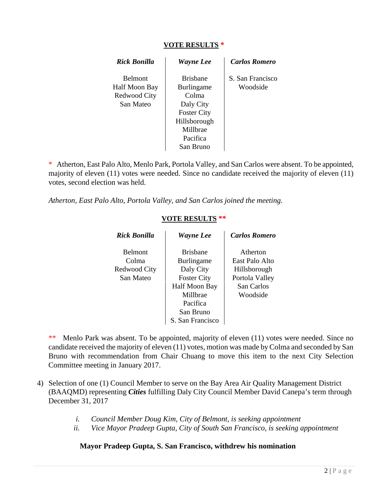## **VOTE RESULTS \***

| Rick Bonilla                                                 | <b>Wayne Lee</b>                                                                                                                      | <b>Carlos Romero</b>         |
|--------------------------------------------------------------|---------------------------------------------------------------------------------------------------------------------------------------|------------------------------|
| <b>Belmont</b><br>Half Moon Bay<br>Redwood City<br>San Mateo | <b>Brishane</b><br><b>Burlingame</b><br>Colma<br>Daly City<br><b>Foster City</b><br>Hillsborough<br>Millbrae<br>Pacifica<br>San Bruno | S. San Francisco<br>Woodside |

\* Atherton, East Palo Alto, Menlo Park, Portola Valley, and San Carlos were absent. To be appointed, majority of eleven (11) votes were needed. Since no candidate received the majority of eleven (11) votes, second election was held.

*Atherton, East Palo Alto, Portola Valley, and San Carlos joined the meeting.* 

## **VOTE RESULTS \*\***

| Rick Bonilla                                         | <b>Wayne Lee</b>                                                                                                                                  | <b>Carlos Romero</b>                                                                   |
|------------------------------------------------------|---------------------------------------------------------------------------------------------------------------------------------------------------|----------------------------------------------------------------------------------------|
| <b>Belmont</b><br>Colma<br>Redwood City<br>San Mateo | <b>Brishane</b><br><b>Burlingame</b><br>Daly City<br><b>Foster City</b><br>Half Moon Bay<br>Millbrae<br>Pacifica<br>San Bruno<br>S. San Francisco | Atherton<br>East Palo Alto<br>Hillsborough<br>Portola Valley<br>San Carlos<br>Woodside |

\*\* Menlo Park was absent. To be appointed, majority of eleven (11) votes were needed. Since no candidate received the majority of eleven (11) votes, motion was made by Colma and seconded by San Bruno with recommendation from Chair Chuang to move this item to the next City Selection Committee meeting in January 2017.

- 4) Selection of one (1) Council Member to serve on the Bay Area Air Quality Management District (BAAQMD) representing *Cities* fulfilling Daly City Council Member David Canepa's term through December 31, 2017
	- *i. Council Member Doug Kim, City of Belmont, is seeking appointment*
	- *ii. Vice Mayor Pradeep Gupta, City of South San Francisco, is seeking appointment*

## **Mayor Pradeep Gupta, S. San Francisco, withdrew his nomination**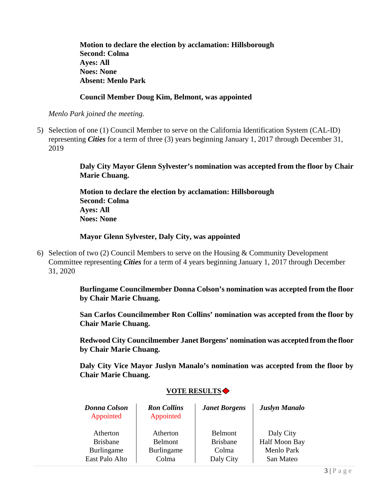**Motion to declare the election by acclamation: Hillsborough Second: Colma Ayes: All Noes: None Absent: Menlo Park**

## **Council Member Doug Kim, Belmont, was appointed**

*Menlo Park joined the meeting.*

5) Selection of one (1) Council Member to serve on the California Identification System (CAL-ID) representing *Cities* for a term of three (3) years beginning January 1, 2017 through December 31, 2019

> **Daly City Mayor Glenn Sylvester's nomination was accepted from the floor by Chair Marie Chuang.**

**Motion to declare the election by acclamation: Hillsborough Second: Colma Ayes: All Noes: None**

## **Mayor Glenn Sylvester, Daly City, was appointed**

6) Selection of two (2) Council Members to serve on the Housing & Community Development Committee representing *Cities* for a term of 4 years beginning January 1, 2017 through December 31, 2020

> **Burlingame Councilmember Donna Colson's nomination was accepted from the floor by Chair Marie Chuang.**

> **San Carlos Councilmember Ron Collins' nomination was accepted from the floor by Chair Marie Chuang.**

> **Redwood City Councilmember Janet Borgens' nomination was accepted from the floor by Chair Marie Chuang.**

> **Daly City Vice Mayor Juslyn Manalo's nomination was accepted from the floor by Chair Marie Chuang.**

| <b>Donna Colson</b><br>Appointed | <b>Ron Collins</b><br>Appointed | <b>Janet Borgens</b> | <b>Juslyn Manalo</b> |
|----------------------------------|---------------------------------|----------------------|----------------------|
| Atherton                         | Atherton                        | <b>Belmont</b>       | Daly City            |
| <b>Brisbane</b>                  | Belmont                         | <b>Brisbane</b>      | Half Moon Bay        |
| Burlingame                       | Burlingame                      | Colma                | <b>Menlo Park</b>    |
| East Palo Alto                   | Colma                           | Daly City            | San Mateo            |

## **VOTE RESULTS**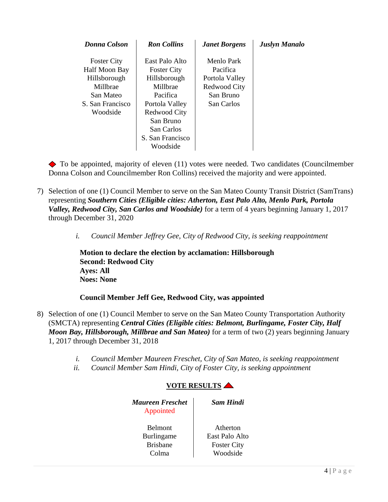| Donna Colson                                                                                                 | <b>Ron</b> Collins                                                                                                                                                        | <b>Janet Borgens</b>                                                                | <b>Juslyn Manalo</b> |
|--------------------------------------------------------------------------------------------------------------|---------------------------------------------------------------------------------------------------------------------------------------------------------------------------|-------------------------------------------------------------------------------------|----------------------|
| <b>Foster City</b><br>Half Moon Bay<br>Hillsborough<br>Millbrae<br>San Mateo<br>S. San Francisco<br>Woodside | East Palo Alto<br><b>Foster City</b><br>Hillsborough<br>Millbrae<br>Pacifica<br>Portola Valley<br>Redwood City<br>San Bruno<br>San Carlos<br>S. San Francisco<br>Woodside | Menlo Park<br>Pacifica<br>Portola Valley<br>Redwood City<br>San Bruno<br>San Carlos |                      |

 $\blacklozenge$  To be appointed, majority of eleven (11) votes were needed. Two candidates (Councilmember Donna Colson and Councilmember Ron Collins) received the majority and were appointed.

- 7) Selection of one (1) Council Member to serve on the San Mateo County Transit District (SamTrans) representing *Southern Cities (Eligible cities: Atherton, East Palo Alto, Menlo Park, Portola Valley, Redwood City, San Carlos and Woodside)* for a term of 4 years beginning January 1, 2017 through December 31, 2020
	- *i. Council Member Jeffrey Gee, City of Redwood City, is seeking reappointment*

**Motion to declare the election by acclamation: Hillsborough Second: Redwood City Ayes: All Noes: None**

## **Council Member Jeff Gee, Redwood City, was appointed**

- 8) Selection of one (1) Council Member to serve on the San Mateo County Transportation Authority (SMCTA) representing *Central Cities (Eligible cities: Belmont, Burlingame, Foster City, Half Moon Bay, Hillsborough, Millbrae and San Mateo)* for a term of two (2) years beginning January 1, 2017 through December 31, 2018
	- *i. Council Member Maureen Freschet, City of San Mateo, is seeking reappointment*
	- *ii. Council Member Sam Hindi, City of Foster City, is seeking appointment*

## **VOTE RESULTS**

| <b>Maureen Freschet</b><br>Appointed | <b>Sam Hindi</b>      |
|--------------------------------------|-----------------------|
| <b>Belmont</b>                       | Atherton              |
| Burlingame                           | <b>East Palo Alto</b> |
| <b>Brishane</b>                      | <b>Foster City</b>    |
| C <sub>olma</sub>                    | Woodside              |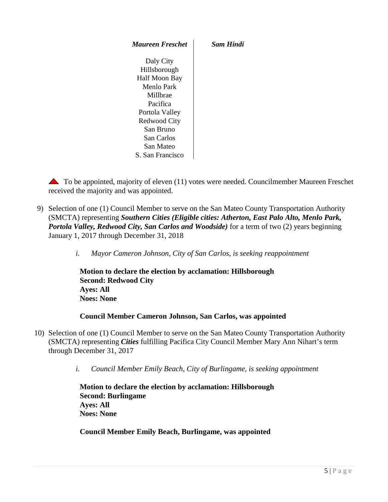*Maureen Freschet Sam Hindi*

Daly City Hillsborough Half Moon Bay Menlo Park Millbrae Pacifica Portola Valley Redwood City San Bruno San Carlos San Mateo S. San Francisco

 $\triangle$  To be appointed, majority of eleven (11) votes were needed. Councilmember Maureen Freschet received the majority and was appointed.

9) Selection of one (1) Council Member to serve on the San Mateo County Transportation Authority (SMCTA) representing *Southern Cities (Eligible cities: Atherton, East Palo Alto, Menlo Park, Portola Valley, Redwood City, San Carlos and Woodside)* for a term of two (2) years beginning January 1, 2017 through December 31, 2018

*i. Mayor Cameron Johnson, City of San Carlos, is seeking reappointment*

**Motion to declare the election by acclamation: Hillsborough Second: Redwood City Ayes: All Noes: None**

#### **Council Member Cameron Johnson, San Carlos, was appointed**

- 10) Selection of one (1) Council Member to serve on the San Mateo County Transportation Authority (SMCTA) representing *Cities* fulfilling Pacifica City Council Member Mary Ann Nihart's term through December 31, 2017
	- *i. Council Member Emily Beach, City of Burlingame, is seeking appointment*

**Motion to declare the election by acclamation: Hillsborough Second: Burlingame Ayes: All Noes: None**

**Council Member Emily Beach, Burlingame, was appointed**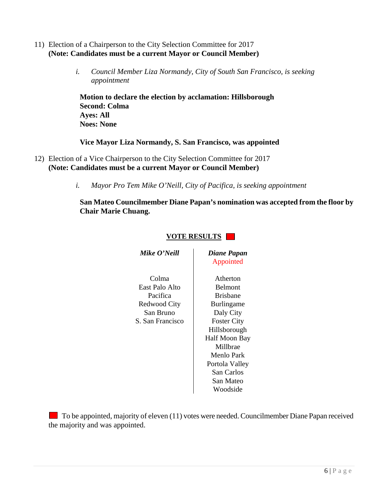- 11) Election of a Chairperson to the City Selection Committee for 2017 **(Note: Candidates must be a current Mayor or Council Member)**
	- *i. Council Member Liza Normandy, City of South San Francisco, is seeking appointment*

**Motion to declare the election by acclamation: Hillsborough Second: Colma Ayes: All Noes: None**

## **Vice Mayor Liza Normandy, S. San Francisco, was appointed**

- 12) Election of a Vice Chairperson to the City Selection Committee for 2017 **(Note: Candidates must be a current Mayor or Council Member)**
	- *i. Mayor Pro Tem Mike O'Neill, City of Pacifica, is seeking appointment*

**San Mateo Councilmember Diane Papan's nomination was accepted from the floor by Chair Marie Chuang.**

| Mike O'Neill                                                                         | Diane Papan<br>Appointed                                                                                                                          |
|--------------------------------------------------------------------------------------|---------------------------------------------------------------------------------------------------------------------------------------------------|
| Colma<br>East Palo Alto<br>Pacifica<br>Redwood City<br>San Bruno<br>S. San Francisco | Atherton<br><b>Belmont</b><br><b>Brishane</b><br><b>Burlingame</b><br>Daly City<br><b>Foster City</b><br>Hillsborough<br>Half Moon Ba<br>Millbrae |
|                                                                                      | Menlo Park<br>Portola Valley<br>San Carlos<br>San Mateo                                                                                           |

Atherton **Belmont** Brisbane Burlingame Daly City **illsborough** If Moon Bay Millbrae Menlo Park ortola Valley San Carlos San Mateo Woodside

 $\blacksquare$  To be appointed, majority of eleven (11) votes were needed. Councilmember Diane Papan received the majority and was appointed.

## **VOTE RESULTS**